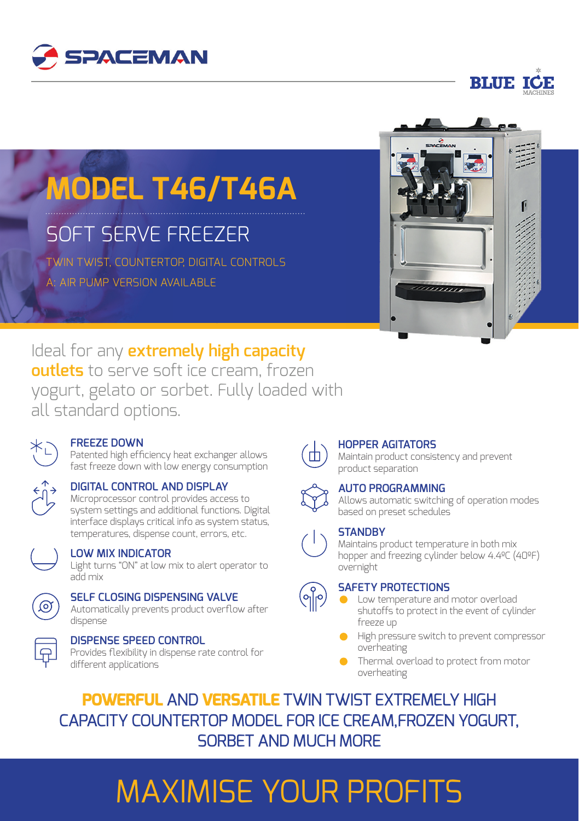



# **MODEL T46/T46A**

## SOFT SERVE FREEZER

TWIN TWIST, COUNTERTOP, DIGITAL CONTROLS A: AIR PUMP VERSION AVAILABLE



Ideal for any **extremely high capacity outlets** to serve soft ice cream, frozen yogurt, gelato or sorbet. Fully loaded with all standard options.



#### **FREEZE DOWN**

Patented high efficiency heat exchanger allows fast freeze down with low energy consumption



**DIGITAL CONTROL AND DISPLAY** Microprocessor control provides access to system settings and additional functions. Digital interface displays critical info as system status,

temperatures, dispense count, errors, etc.



#### **LOW MIX INDICATOR**

Light turns "ON" at low mix to alert operator to add mix



#### **SELF CLOSING DISPENSING VALVE**

Automatically prevents product overflow after dispense



### **DISPENSE SPEED CONTROL**

Provides flexibility in dispense rate control for different applications



 $\bigcirc$ 

### **HOPPER AGITATORS**

Maintain product consistency and prevent product separation

#### **AUTO PROGRAMMING**

Allows automatic switching of operation modes based on preset schedules

### **STANDBY**

Maintains product temperature in both mix hopper and freezing cylinder below 4.4ºC (40ºF) overnight

#### **SAFETY PROTECTIONS**

- Low temperature and motor overload shutoffs to protect in the event of cylinder freeze up
- **High pressure switch to prevent compressor** overheating
- **Thermal overload to protect from motor** overheating

**POWERFUL** AND **VERSATILE** TWIN TWIST EXTREMELY HIGH CAPACITY COUNTERTOP MODEL FOR ICE CREAM,FROZEN YOGURT, SORBET AND MUCH MORE

# MAXIMISE YOUR PROFITS